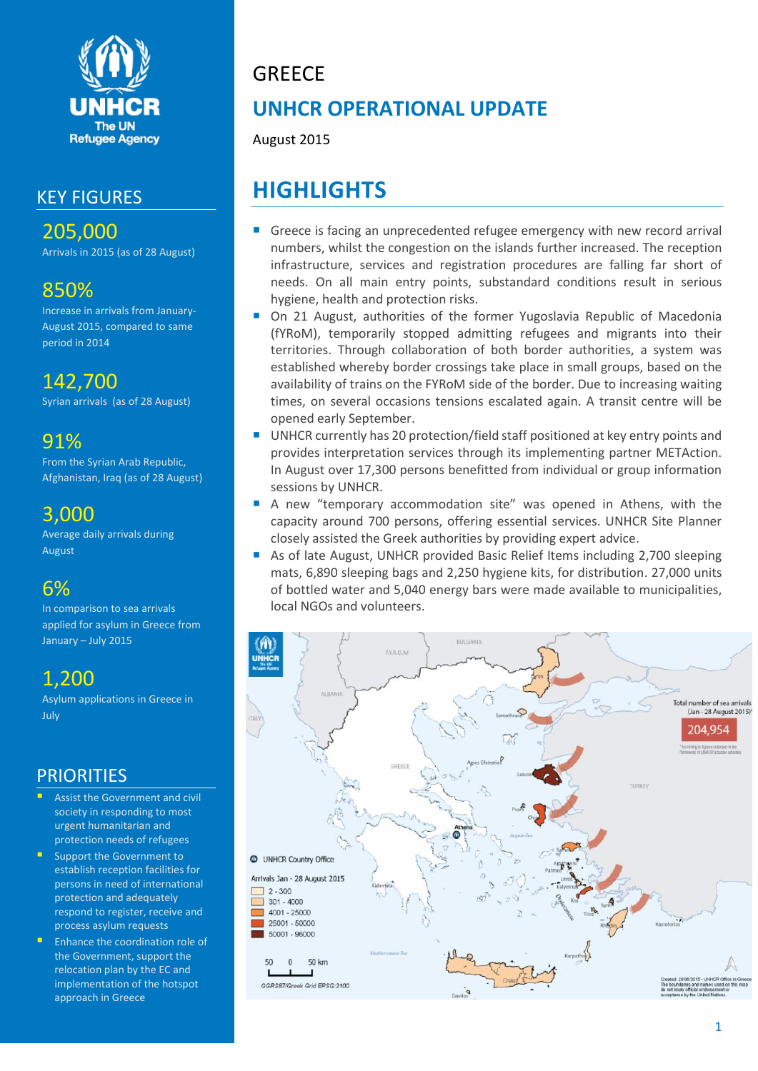

## KEY FIGURES

205,000 Arrivals in 2015 (as of 28 August)

## 850%

Increase in arrivals from January-August 2015, compared to same period in 2014

# 142,700

Syrian arrivals (as of 28 August)

## 91%

From the Syrian Arab Republic, Afghanistan, Iraq (as of 28 August)

## 3,000

Average daily arrivals during August

# 6%

In comparison to sea arrivals applied for asylum in Greece from January – July 2015

# 1,200

Asylum applications in Greece in July

## **PRIORITIES**

- Assist the Government and civil society in responding to most urgent humanitarian and protection needs of refugees
- Support the Government to establish reception facilities for persons in need of international protection and adequately respond to register, receive and process asylum requests
- Enhance the coordination role of the Government, support the relocation plan by the EC and implementation of the hotspot approach in Greece

# **GREECE**

# **UNHCR OPERATIONAL UPDATE**

August 2015

# **HIGHLIGHTS**

- Greece is facing an unprecedented refugee emergency with new record arrival numbers, whilst the congestion on the islands further increased. The reception infrastructure, services and registration procedures are falling far short of needs. On all main entry points, substandard conditions result in serious hygiene, health and protection risks.
- On 21 August, authorities of the former Yugoslavia Republic of Macedonia (fYRoM), temporarily stopped admitting refugees and migrants into their territories. Through collaboration of both border authorities, a system was established whereby border crossings take place in small groups, based on the availability of trains on the FYRoM side of the border. Due to increasing waiting times, on several occasions tensions escalated again. A transit centre will be opened early September.
- UNHCR currently has 20 protection/field staff positioned at key entry points and provides interpretation services through its implementing partner METAction. In August over 17,300 persons benefitted from individual or group information sessions by UNHCR.
- A new "temporary accommodation site" was opened in Athens, with the capacity around 700 persons, offering essential services. UNHCR Site Planner closely assisted the Greek authorities by providing expert advice.
- As of late August, UNHCR provided Basic Relief Items including 2,700 sleeping mats, 6,890 sleeping bags and 2,250 hygiene kits, for distribution. 27,000 units of bottled water and 5,040 energy bars were made available to municipalities, local NGOs and volunteers.

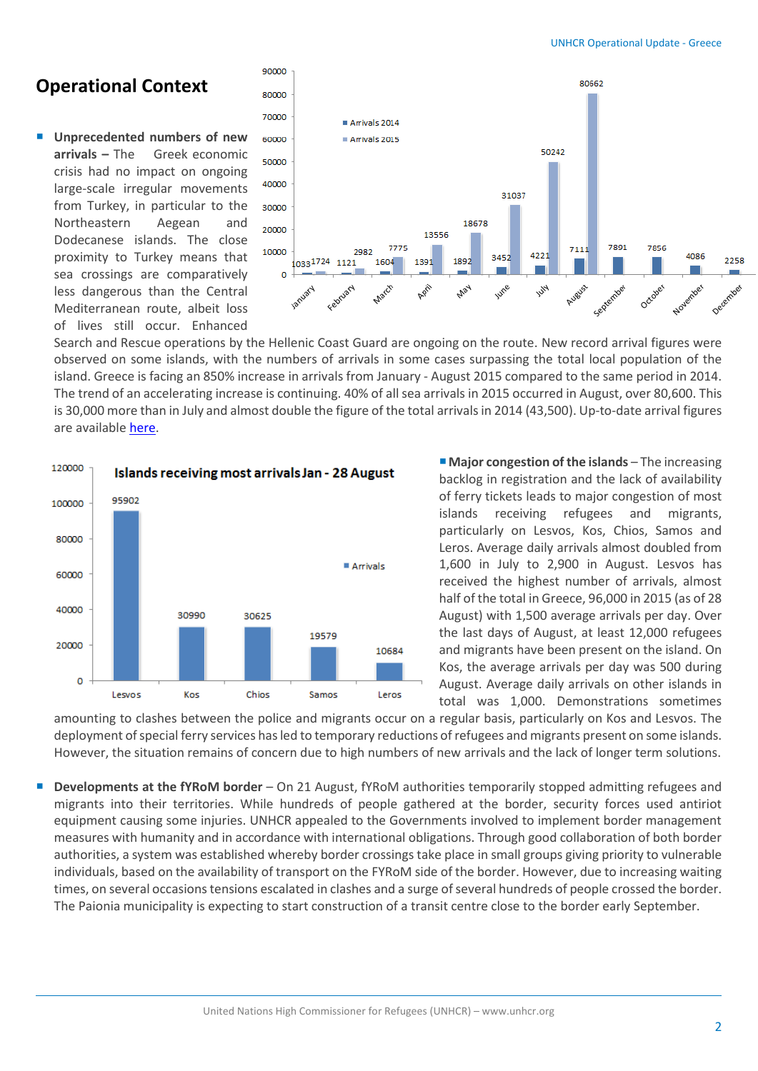## **Operational Context**

 **Unprecedented numbers of new arrivals –** The Greek economic crisis had no impact on ongoing large-scale irregular movements from Turkey, in particular to the Northeastern Aegean and Dodecanese islands. The close proximity to Turkey means that sea crossings are comparatively less dangerous than the Central Mediterranean route, albeit loss of lives still occur. Enhanced



Search and Rescue operations by the Hellenic Coast Guard are ongoing on the route. New record arrival figures were observed on some islands, with the numbers of arrivals in some cases surpassing the total local population of the island. Greece is facing an 850% increase in arrivals from January - August 2015 compared to the same period in 2014. The trend of an accelerating increase is continuing. 40% of all sea arrivals in 2015 occurred in August, over 80,600. This is 30,000 more than in July and almost double the figure of the total arrivals in 2014 (43,500). Up-to-date arrival figures are availabl[e here.](http://www.unhcr.gr/Arrivals/greece/)



■ **Major congestion of the islands** – The increasing backlog in registration and the lack of availability of ferry tickets leads to major congestion of most islands receiving refugees and migrants, particularly on Lesvos, Kos, Chios, Samos and Leros. Average daily arrivals almost doubled from 1,600 in July to 2,900 in August. Lesvos has received the highest number of arrivals, almost half of the total in Greece, 96,000 in 2015 (as of 28 August) with 1,500 average arrivals per day. Over the last days of August, at least 12,000 refugees and migrants have been present on the island. On Kos, the average arrivals per day was 500 during August. Average daily arrivals on other islands in total was 1,000. Demonstrations sometimes

amounting to clashes between the police and migrants occur on a regular basis, particularly on Kos and Lesvos. The deployment of special ferry services has led to temporary reductions of refugees and migrants present on some islands. However, the situation remains of concern due to high numbers of new arrivals and the lack of longer term solutions.

 **Developments at the fYRoM border** – On 21 August, fYRoM authorities temporarily stopped admitting refugees and migrants into their territories. While hundreds of people gathered at the border, security forces used antiriot equipment causing some injuries. UNHCR appealed to the Governments involved to implement border management measures with humanity and in accordance with international obligations. Through good collaboration of both border authorities, a system was established whereby border crossings take place in small groups giving priority to vulnerable individuals, based on the availability of transport on the FYRoM side of the border. However, due to increasing waiting times, on several occasions tensions escalated in clashes and a surge of several hundreds of people crossed the border. The Paionia municipality is expecting to start construction of a transit centre close to the border early September.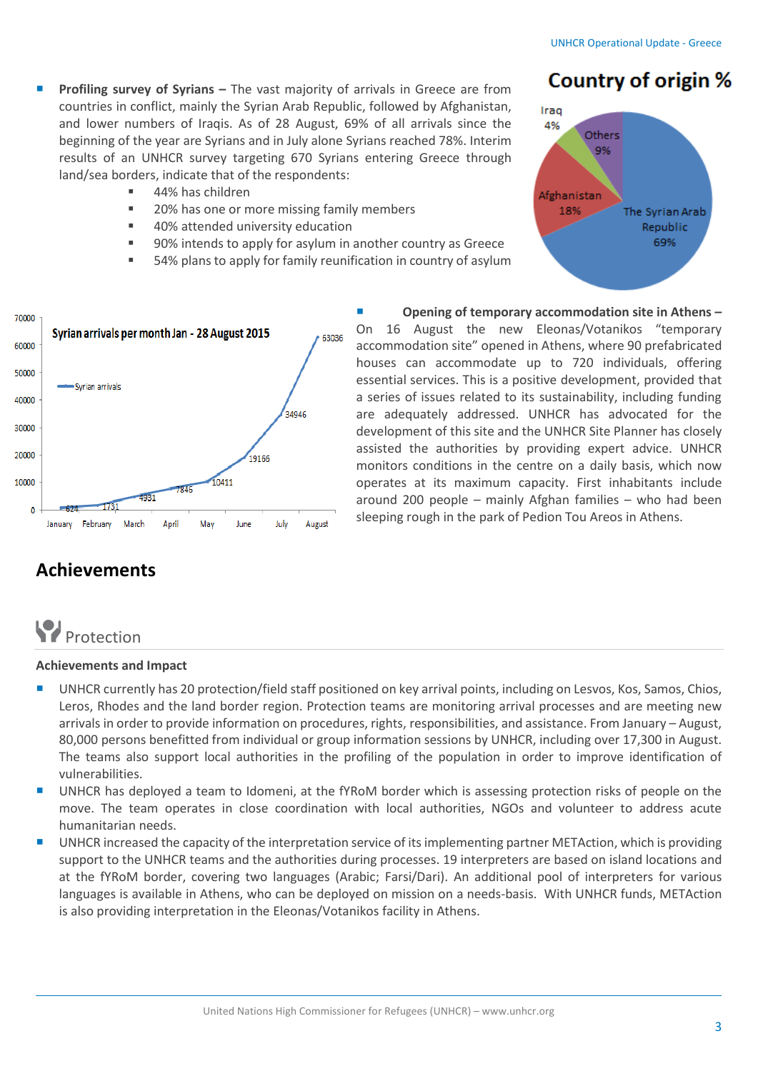- **Country of origin %**
- **Profiling survey of Syrians –** The vast majority of arrivals in Greece are from countries in conflict, mainly the Syrian Arab Republic, followed by Afghanistan, and lower numbers of Iraqis. As of 28 August, 69% of all arrivals since the beginning of the year are Syrians and in July alone Syrians reached 78%. Interim results of an UNHCR survey targeting 670 Syrians entering Greece through land/sea borders, indicate that of the respondents:
	- 44% has children
	- 20% has one or more missing family members
	- 40% attended university education
	- 90% intends to apply for asylum in another country as Greece
	- 54% plans to apply for family reunification in country of asylum





## **Achievements**

# **P**rotection

### **Achievements and Impact**

- **UNHCR currently has 20 protection/field staff positioned on key arrival points, including on Lesvos, Kos, Samos, Chios,** Leros, Rhodes and the land border region. Protection teams are monitoring arrival processes and are meeting new arrivals in order to provide information on procedures, rights, responsibilities, and assistance. From January – August, 80,000 persons benefitted from individual or group information sessions by UNHCR, including over 17,300 in August. The teams also support local authorities in the profiling of the population in order to improve identification of vulnerabilities.
- UNHCR has deployed a team to Idomeni, at the fYRoM border which is assessing protection risks of people on the move. The team operates in close coordination with local authorities, NGOs and volunteer to address acute humanitarian needs.
- UNHCR increased the capacity of the interpretation service of its implementing partner METAction, which is providing support to the UNHCR teams and the authorities during processes. 19 interpreters are based on island locations and at the fYRoM border, covering two languages (Arabic; Farsi/Dari). An additional pool of interpreters for various languages is available in Athens, who can be deployed on mission on a needs-basis. With UNHCR funds, METAction is also providing interpretation in the Eleonas/Votanikos facility in Athens.

 **Opening of temporary accommodation site in Athens –** On 16 August the new Eleonas/Votanikos "temporary accommodation site" opened in Athens, where 90 prefabricated houses can accommodate up to 720 individuals, offering essential services. This is a positive development, provided that a series of issues related to its sustainability, including funding are adequately addressed. UNHCR has advocated for the development of this site and the UNHCR Site Planner has closely assisted the authorities by providing expert advice. UNHCR monitors conditions in the centre on a daily basis, which now operates at its maximum capacity. First inhabitants include around 200 people – mainly Afghan families – who had been sleeping rough in the park of Pedion Tou Areos in Athens.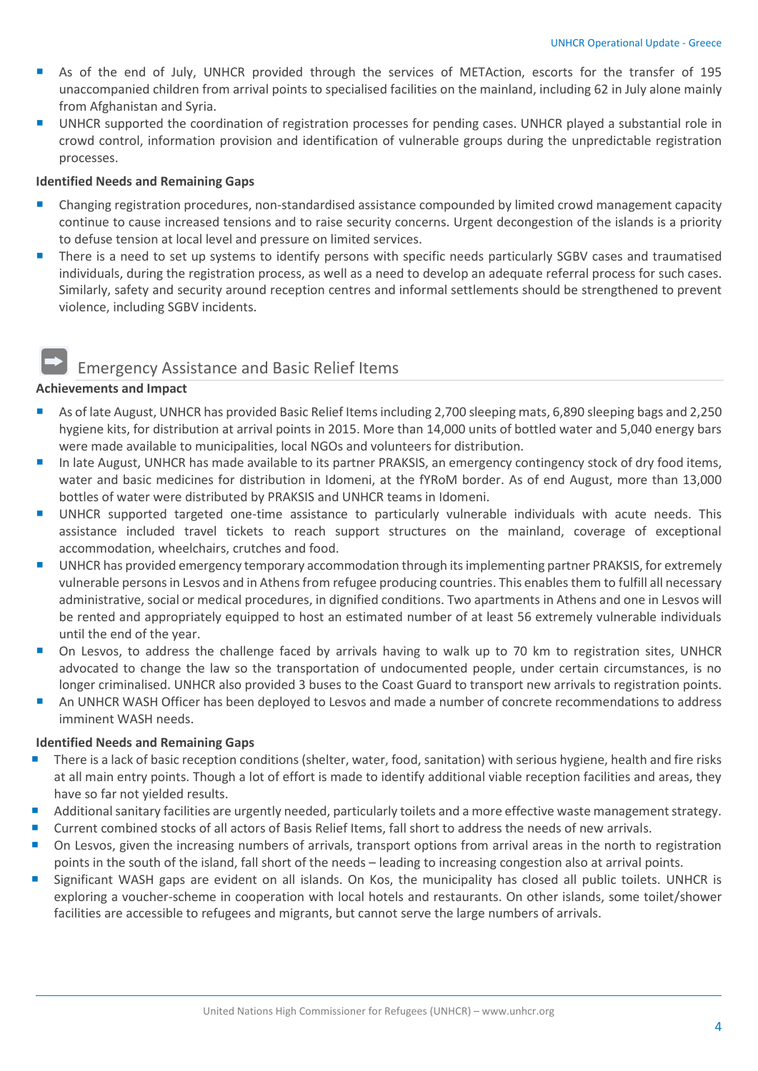- As of the end of July, UNHCR provided through the services of METAction, escorts for the transfer of 195 unaccompanied children from arrival points to specialised facilities on the mainland, including 62 in July alone mainly from Afghanistan and Syria.
- UNHCR supported the coordination of registration processes for pending cases. UNHCR played a substantial role in crowd control, information provision and identification of vulnerable groups during the unpredictable registration processes.

### **Identified Needs and Remaining Gaps**

- **EXA** Changing registration procedures, non-standardised assistance compounded by limited crowd management capacity continue to cause increased tensions and to raise security concerns. Urgent decongestion of the islands is a priority to defuse tension at local level and pressure on limited services.
- There is a need to set up systems to identify persons with specific needs particularly SGBV cases and traumatised individuals, during the registration process, as well as a need to develop an adequate referral process for such cases. Similarly, safety and security around reception centres and informal settlements should be strengthened to prevent violence, including SGBV incidents.

## Emergency Assistance and Basic Relief Items

### **Achievements and Impact**

- As of late August, UNHCR has provided Basic Relief Items including 2,700 sleeping mats, 6,890 sleeping bags and 2,250 hygiene kits, for distribution at arrival points in 2015. More than 14,000 units of bottled water and 5,040 energy bars were made available to municipalities, local NGOs and volunteers for distribution.
- In late August, UNHCR has made available to its partner PRAKSIS, an emergency contingency stock of dry food items, water and basic medicines for distribution in Idomeni, at the fYRoM border. As of end August, more than 13,000 bottles of water were distributed by PRAKSIS and UNHCR teams in Idomeni.
- UNHCR supported targeted one-time assistance to particularly vulnerable individuals with acute needs. This assistance included travel tickets to reach support structures on the mainland, coverage of exceptional accommodation, wheelchairs, crutches and food.
- UNHCR has provided emergency temporary accommodation through its implementing partner PRAKSIS, for extremely vulnerable persons in Lesvos and in Athens from refugee producing countries. This enables them to fulfill all necessary administrative, social or medical procedures, in dignified conditions. Two apartments in Athens and one in Lesvos will be rented and appropriately equipped to host an estimated number of at least 56 extremely vulnerable individuals until the end of the year.
- On Lesvos, to address the challenge faced by arrivals having to walk up to 70 km to registration sites, UNHCR advocated to change the law so the transportation of undocumented people, under certain circumstances, is no longer criminalised. UNHCR also provided 3 buses to the Coast Guard to transport new arrivals to registration points.
- An UNHCR WASH Officer has been deployed to Lesvos and made a number of concrete recommendations to address imminent WASH needs.

### **Identified Needs and Remaining Gaps**

- **There is a lack of basic reception conditions (shelter, water, food, sanitation) with serious hygiene, health and fire risks** at all main entry points. Though a lot of effort is made to identify additional viable reception facilities and areas, they have so far not yielded results.
- Additional sanitary facilities are urgently needed, particularly toilets and a more effective waste management strategy.
- Current combined stocks of all actors of Basis Relief Items, fall short to address the needs of new arrivals.
- On Lesvos, given the increasing numbers of arrivals, transport options from arrival areas in the north to registration points in the south of the island, fall short of the needs – leading to increasing congestion also at arrival points.
- Significant WASH gaps are evident on all islands. On Kos, the municipality has closed all public toilets. UNHCR is exploring a voucher-scheme in cooperation with local hotels and restaurants. On other islands, some toilet/shower facilities are accessible to refugees and migrants, but cannot serve the large numbers of arrivals.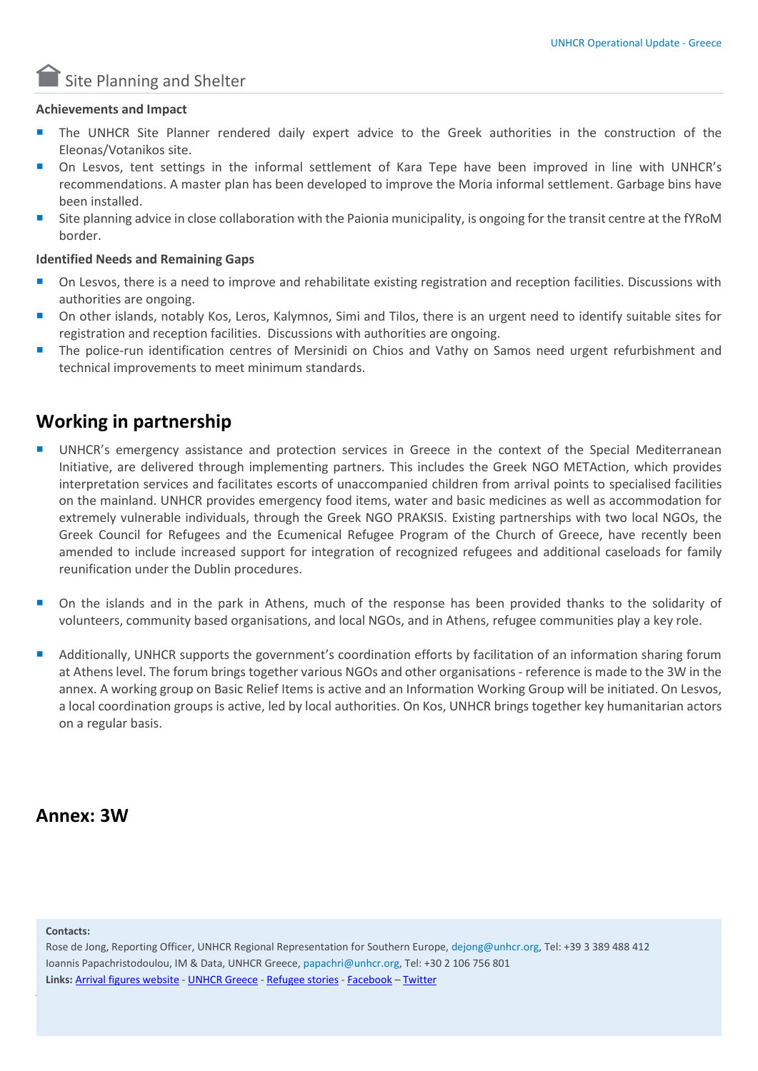

### **Achievements and Impact**

- The UNHCR Site Planner rendered daily expert advice to the Greek authorities in the construction of the Eleonas/Votanikos site.
- On Lesvos, tent settings in the informal settlement of Kara Tepe have been improved in line with UNHCR's recommendations. A master plan has been developed to improve the Moria informal settlement. Garbage bins have been installed.
- Site planning advice in close collaboration with the Paionia municipality, is ongoing for the transit centre at the fYRoM border.

### **Identified Needs and Remaining Gaps**

- On Lesvos, there is a need to improve and rehabilitate existing registration and reception facilities. Discussions with authorities are ongoing.
- On other islands, notably Kos, Leros, Kalymnos, Simi and Tilos, there is an urgent need to identify suitable sites for registration and reception facilities. Discussions with authorities are ongoing.
- The police-run identification centres of Mersinidi on Chios and Vathy on Samos need urgent refurbishment and technical improvements to meet minimum standards.

## **Working in partnership**

- UNHCR's emergency assistance and protection services in Greece in the context of the Special Mediterranean Initiative, are delivered through implementing partners. This includes the Greek NGO METAction, which provides interpretation services and facilitates escorts of unaccompanied children from arrival points to specialised facilities on the mainland. UNHCR provides emergency food items, water and basic medicines as well as accommodation for extremely vulnerable individuals, through the Greek NGO PRAKSIS. Existing partnerships with two local NGOs, the Greek Council for Refugees and the Ecumenical Refugee Program of the Church of Greece, have recently been amended to include increased support for integration of recognized refugees and additional caseloads for family reunification under the Dublin procedures.
- On the islands and in the park in Athens, much of the response has been provided thanks to the solidarity of volunteers, community based organisations, and local NGOs, and in Athens, refugee communities play a key role.
- Additionally, UNHCR supports the government's coordination efforts by facilitation of an information sharing forum at Athens level. The forum brings together various NGOs and other organisations- reference is made to the 3W in the annex. A working group on Basic Relief Items is active and an Information Working Group will be initiated. On Lesvos, a local coordination groups is active, led by local authorities. On Kos, UNHCR brings together key humanitarian actors on a regular basis.

### **Annex: 3W**

#### **Contacts:**

Rose de Jong, Reporting Officer, UNHCR Regional Representation for Southern Europe, dejong@unhcr.org, Tel: +39 3 389 488 412 Ioannis Papachristodoulou, IM & Data, UNHCR Greece[, papachri@unhcr.org,](mailto:papachri@unhcr.org) Tel: +30 2 106 756 801 **Links:** [Arrival figures website](http://www.unhcr.gr/Arrivals/) - [UNHCR Greece](http://www.unhcr.gr/) - [Refugee stories](http://www.unhcr.gr/refugeestories/) - [Facebook](https://www.facebook.com/UNHCRGREECE?fref=ts) – [Twitter](https://twitter.com/UNHCRGreece)